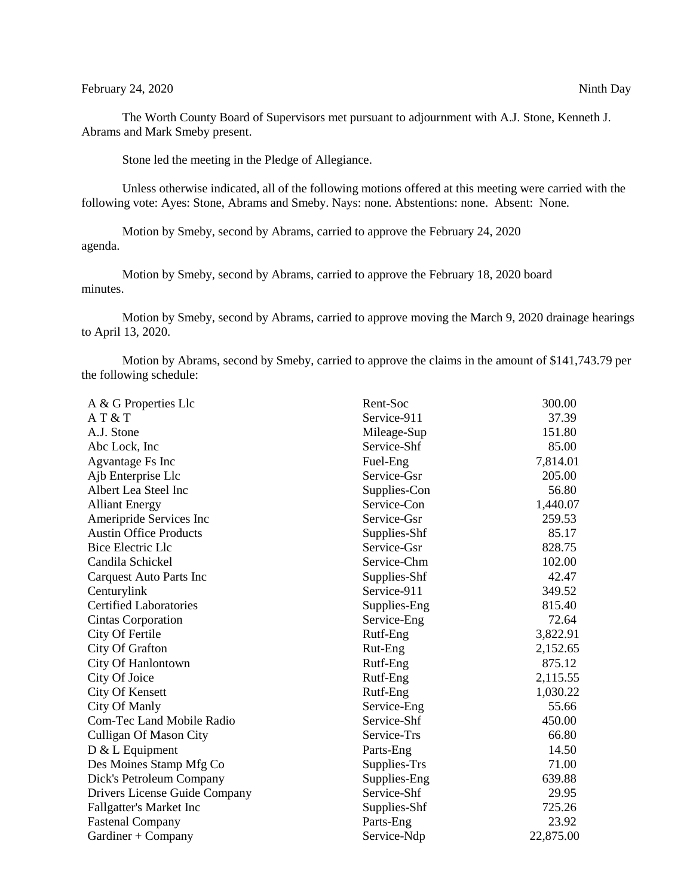## February 24, 2020 Ninth Day

The Worth County Board of Supervisors met pursuant to adjournment with A.J. Stone, Kenneth J. Abrams and Mark Smeby present.

Stone led the meeting in the Pledge of Allegiance.

Unless otherwise indicated, all of the following motions offered at this meeting were carried with the following vote: Ayes: Stone, Abrams and Smeby. Nays: none. Abstentions: none. Absent: None.

Motion by Smeby, second by Abrams, carried to approve the February 24, 2020 agenda.

Motion by Smeby, second by Abrams, carried to approve the February 18, 2020 board minutes.

Motion by Smeby, second by Abrams, carried to approve moving the March 9, 2020 drainage hearings to April 13, 2020.

Motion by Abrams, second by Smeby, carried to approve the claims in the amount of \$141,743.79 per the following schedule:

| A & G Properties Llc             | Rent-Soc     | 300.00    |
|----------------------------------|--------------|-----------|
| AT & T                           | Service-911  | 37.39     |
| A.J. Stone                       | Mileage-Sup  | 151.80    |
| Abc Lock, Inc.                   | Service-Shf  | 85.00     |
| Agvantage Fs Inc                 | Fuel-Eng     | 7,814.01  |
| Ajb Enterprise Llc               | Service-Gsr  | 205.00    |
| Albert Lea Steel Inc             | Supplies-Con | 56.80     |
| <b>Alliant Energy</b>            | Service-Con  | 1,440.07  |
| Ameripride Services Inc          | Service-Gsr  | 259.53    |
| <b>Austin Office Products</b>    | Supplies-Shf | 85.17     |
| <b>Bice Electric Llc</b>         | Service-Gsr  | 828.75    |
| Candila Schickel                 | Service-Chm  | 102.00    |
| Carquest Auto Parts Inc          | Supplies-Shf | 42.47     |
| Centurylink                      | Service-911  | 349.52    |
| <b>Certified Laboratories</b>    | Supplies-Eng | 815.40    |
| <b>Cintas Corporation</b>        | Service-Eng  | 72.64     |
| City Of Fertile                  | Rutf-Eng     | 3,822.91  |
| City Of Grafton                  | Rut-Eng      | 2,152.65  |
| City Of Hanlontown               | Rutf-Eng     | 875.12    |
| City Of Joice                    | Rutf-Eng     | 2,115.55  |
| <b>City Of Kensett</b>           | Rutf-Eng     | 1,030.22  |
| City Of Manly                    | Service-Eng  | 55.66     |
| <b>Com-Tec Land Mobile Radio</b> | Service-Shf  | 450.00    |
| <b>Culligan Of Mason City</b>    | Service-Trs  | 66.80     |
| $D & L$ Equipment                | Parts-Eng    | 14.50     |
| Des Moines Stamp Mfg Co          | Supplies-Trs | 71.00     |
| Dick's Petroleum Company         | Supplies-Eng | 639.88    |
| Drivers License Guide Company    | Service-Shf  | 29.95     |
| Fallgatter's Market Inc          | Supplies-Shf | 725.26    |
| <b>Fastenal Company</b>          | Parts-Eng    | 23.92     |
| Gardiner + Company               | Service-Ndp  | 22,875.00 |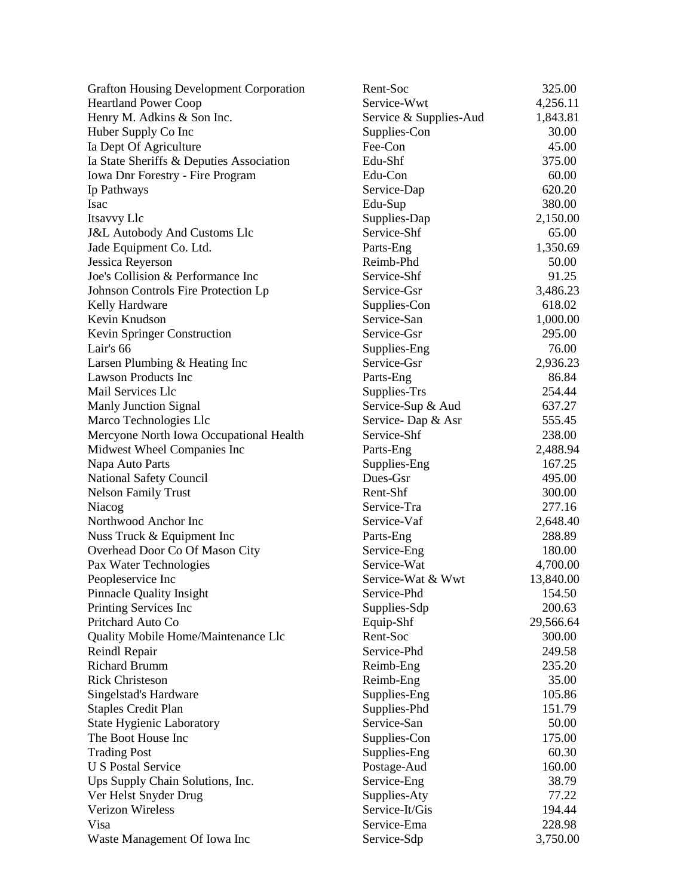| <b>Grafton Housing Development Corporation</b> | Rent-Soc               | 325.00    |
|------------------------------------------------|------------------------|-----------|
| <b>Heartland Power Coop</b>                    | Service-Wwt            | 4,256.11  |
| Henry M. Adkins & Son Inc.                     | Service & Supplies-Aud | 1,843.81  |
| Huber Supply Co Inc                            | Supplies-Con           | 30.00     |
| Ia Dept Of Agriculture                         | Fee-Con                | 45.00     |
| Ia State Sheriffs & Deputies Association       | Edu-Shf                | 375.00    |
| Iowa Dnr Forestry - Fire Program               | Edu-Con                | 60.00     |
| Ip Pathways                                    | Service-Dap            | 620.20    |
| <b>Isac</b>                                    | Edu-Sup                | 380.00    |
| Itsavvy Llc                                    | Supplies-Dap           | 2,150.00  |
| <b>J&amp;L Autobody And Customs Llc</b>        | Service-Shf            | 65.00     |
| Jade Equipment Co. Ltd.                        | Parts-Eng              | 1,350.69  |
| Jessica Reyerson                               | Reimb-Phd              | 50.00     |
| Joe's Collision & Performance Inc              | Service-Shf            | 91.25     |
| Johnson Controls Fire Protection Lp            | Service-Gsr            | 3,486.23  |
| Kelly Hardware                                 | Supplies-Con           | 618.02    |
| Kevin Knudson                                  | Service-San            | 1,000.00  |
| Kevin Springer Construction                    | Service-Gsr            | 295.00    |
| Lair's 66                                      | Supplies-Eng           | 76.00     |
| Larsen Plumbing & Heating Inc                  | Service-Gsr            | 2,936.23  |
| <b>Lawson Products Inc</b>                     | Parts-Eng              | 86.84     |
| Mail Services Llc                              | Supplies-Trs           | 254.44    |
| <b>Manly Junction Signal</b>                   | Service-Sup & Aud      | 637.27    |
| Marco Technologies Llc                         | Service-Dap & Asr      | 555.45    |
| Mercyone North Iowa Occupational Health        | Service-Shf            | 238.00    |
| Midwest Wheel Companies Inc                    | Parts-Eng              | 2,488.94  |
| Napa Auto Parts                                | Supplies-Eng           | 167.25    |
| National Safety Council                        | Dues-Gsr               | 495.00    |
| <b>Nelson Family Trust</b>                     | Rent-Shf               | 300.00    |
| Niacog                                         | Service-Tra            | 277.16    |
| Northwood Anchor Inc                           | Service-Vaf            | 2,648.40  |
| Nuss Truck & Equipment Inc                     | Parts-Eng              | 288.89    |
| Overhead Door Co Of Mason City                 | Service-Eng            | 180.00    |
|                                                | Service-Wat            | 4,700.00  |
| Pax Water Technologies<br>Peopleservice Inc    | Service-Wat & Wwt      | 13,840.00 |
| <b>Pinnacle Quality Insight</b>                | Service-Phd            | 154.50    |
|                                                |                        |           |
| Printing Services Inc                          | Supplies-Sdp           | 200.63    |
| Pritchard Auto Co                              | Equip-Shf              | 29,566.64 |
| Quality Mobile Home/Maintenance Llc            | Rent-Soc               | 300.00    |
| Reindl Repair                                  | Service-Phd            | 249.58    |
| <b>Richard Brumm</b>                           | Reimb-Eng              | 235.20    |
| <b>Rick Christeson</b>                         | Reimb-Eng              | 35.00     |
| Singelstad's Hardware                          | Supplies-Eng           | 105.86    |
| <b>Staples Credit Plan</b>                     | Supplies-Phd           | 151.79    |
| <b>State Hygienic Laboratory</b>               | Service-San            | 50.00     |
| The Boot House Inc                             | Supplies-Con           | 175.00    |
| <b>Trading Post</b>                            | Supplies-Eng           | 60.30     |
| <b>U S Postal Service</b>                      | Postage-Aud            | 160.00    |
| Ups Supply Chain Solutions, Inc.               | Service-Eng            | 38.79     |
| Ver Helst Snyder Drug                          | Supplies-Aty           | 77.22     |
| <b>Verizon Wireless</b>                        | Service-It/Gis         | 194.44    |
| Visa                                           | Service-Ema            | 228.98    |
| Waste Management Of Iowa Inc                   | Service-Sdp            | 3,750.00  |